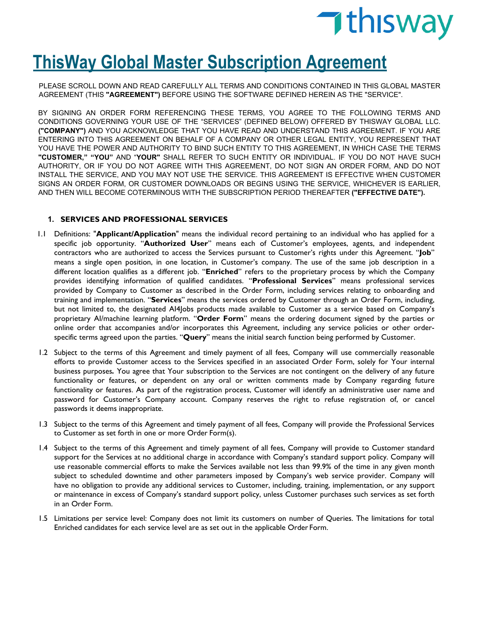

# **ThisWay Global Master Subscription Agreement**

PLEASE SCROLL DOWN AND READ CAREFULLY ALL TERMS AND CONDITIONS CONTAINED IN THIS GLOBAL MASTER AGREEMENT (THIS **"AGREEMENT")** BEFORE USING THE SOFTWARE DEFINED HEREIN AS THE "SERVICE".

BY SIGNING AN ORDER FORM REFERENCING THESE TERMS, YOU AGREE TO THE FOLLOWING TERMS AND CONDITIONS GOVERNING YOUR USE OF THE "SERVICES" (DEFINED BELOW) OFFERED BY THISWAY GLOBAL LLC. **("COMPANY")** AND YOU ACKNOWLEDGE THAT YOU HAVE READ AND UNDERSTAND THIS AGREEMENT. IF YOU ARE ENTERING INTO THIS AGREEMENT ON BEHALF OF A COMPANY OR OTHER LEGAL ENTITY, YOU REPRESENT THAT YOU HAVE THE POWER AND AUTHORITY TO BIND SUCH ENTITY TO THIS AGREEMENT, IN WHICH CASE THE TERMS **"CUSTOMER," "YOU"** AND "**YOUR"** SHALL REFER TO SUCH ENTITY OR INDIVIDUAL. IF YOU DO NOT HAVE SUCH AUTHORITY, OR IF YOU DO NOT AGREE WITH THIS AGREEMENT, DO NOT SIGN AN ORDER FORM, AND DO NOT INSTALL THE SERVICE, AND YOU MAY NOT USE THE SERVICE. THIS AGREEMENT IS EFFECTIVE WHEN CUSTOMER SIGNS AN ORDER FORM, OR CUSTOMER DOWNLOADS OR BEGINS USING THE SERVICE, WHICHEVER IS EARLIER, AND THEN WILL BECOME COTERMINOUS WITH THE SUBSCRIPTION PERIOD THEREAFTER **("EFFECTIVE DATE").**

## **1. SERVICES AND PROFESSIONAL SERVICES**

- 1.1 Definitions: "**Applicant/Application**" means the individual record pertaining to an individual who has applied for a specific job opportunity. "**Authorized User**" means each of Customer's employees, agents, and independent contractors who are authorized to access the Services pursuant to Customer's rights under this Agreement. "**Job**" means a single open position, in one location, in Customer's company. The use of the same job description in a different location qualifies as a different job. "**Enriched**" refers to the proprietary process by which the Company provides identifying information of qualified candidates. "**Professional Services**" means professional services provided by Company to Customer as described in the Order Form, including services relating to onboarding and training and implementation. "**Services**" means the services ordered by Customer through an Order Form, including, but not limited to, the designated AI4Jobs products made available to Customer as a service based on Company's proprietary AI/machine learning platform. "**Order Form**" means the ordering document signed by the parties or online order that accompanies and/or incorporates this Agreement, including any service policies or other orderspecific terms agreed upon the parties. "**Query**" means the initial search function being performed by Customer.
- 1.2 Subject to the terms of this Agreement and timely payment of all fees, Company will use commercially reasonable efforts to provide Customer access to the Services specified in an associated Order Form, solely for Your internal business purposes*.* You agree that Your subscription to the Services are not contingent on the delivery of any future functionality or features, or dependent on any oral or written comments made by Company regarding future functionality or features. As part of the registration process, Customer will identify an administrative user name and password for Customer's Company account. Company reserves the right to refuse registration of, or cancel passwords it deems inappropriate.
- 1.3 Subject to the terms of this Agreement and timely payment of all fees, Company will provide the Professional Services to Customer as set forth in one or more Order Form(s).
- 1.4 Subject to the terms of this Agreement and timely payment of all fees, Company will provide to Customer standard support for the Services at no additional charge in accordance with Company's standard support policy. Company will use reasonable commercial efforts to make the Services available not less than 99.9% of the time in any given month subject to scheduled downtime and other parameters imposed by Company's web service provider. Company will have no obligation to provide any additional services to Customer, including, training, implementation, or any support or maintenance in excess of Company's standard support policy, unless Customer purchases such services as set forth in an Order Form.
- 1.5 Limitations per service level: Company does not limit its customers on number of Queries. The limitations for total Enriched candidates for each service level are as set out in the applicable Order Form.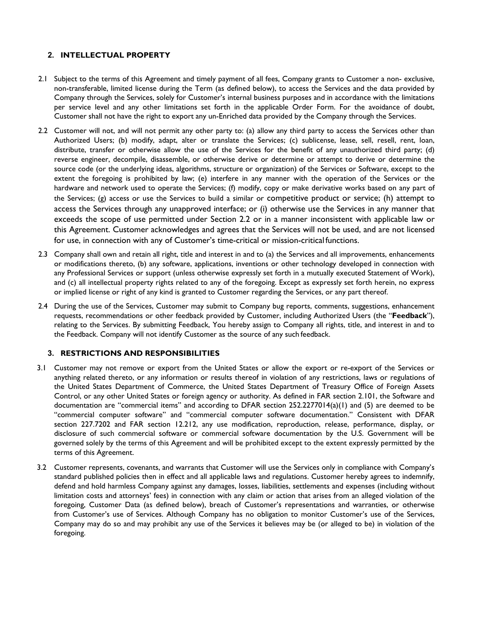# **2. INTELLECTUAL PROPERTY**

- 2.1 Subject to the terms of this Agreement and timely payment of all fees, Company grants to Customer a non- exclusive, non-transferable, limited license during the Term (as defined below), to access the Services and the data provided by Company through the Services, solely for Customer's internal business purposes and in accordance with the limitations per service level and any other limitations set forth in the applicable Order Form. For the avoidance of doubt, Customer shall not have the right to export any un-Enriched data provided by the Company through the Services.
- 2.2 Customer will not, and will not permit any other party to: (a) allow any third party to access the Services other than Authorized Users; (b) modify, adapt, alter or translate the Services; (c) sublicense, lease, sell, resell, rent, loan, distribute, transfer or otherwise allow the use of the Services for the benefit of any unauthorized third party; (d) reverse engineer, decompile, disassemble, or otherwise derive or determine or attempt to derive or determine the source code (or the underlying ideas, algorithms, structure or organization) of the Services or Software, except to the extent the foregoing is prohibited by law; (e) interfere in any manner with the operation of the Services or the hardware and network used to operate the Services; (f) modify, copy or make derivative works based on any part of the Services; (g) access or use the Services to build a similar or competitive product or service; (h) attempt to access the Services through any unapproved interface; or (i) otherwise use the Services in any manner that exceeds the scope of use permitted under Section 2.2 or in a manner inconsistent with applicable law or this Agreement. Customer acknowledges and agrees that the Services will not be used, and are not licensed for use, in connection with any of Customer's time-critical or mission-critical functions.
- 2.3 Company shall own and retain all right, title and interest in and to (a) the Services and all improvements, enhancements or modifications thereto, (b) any software, applications, inventions or other technology developed in connection with any Professional Services or support (unless otherwise expressly set forth in a mutually executed Statement of Work), and (c) all intellectual property rights related to any of the foregoing. Except as expressly set forth herein, no express or implied license or right of any kind is granted to Customer regarding the Services, or any part thereof.
- 2.4 During the use of the Services, Customer may submit to Company bug reports, comments, suggestions, enhancement requests, recommendations or other feedback provided by Customer, including Authorized Users (the "**Feedback**"), relating to the Services. By submitting Feedback, You hereby assign to Company all rights, title, and interest in and to the Feedback. Company will not identify Customer as the source of any such feedback.

#### **3. RESTRICTIONS AND RESPONSIBILITIES**

- 3.1 Customer may not remove or export from the United States or allow the export or re-export of the Services or anything related thereto, or any information or results thereof in violation of any restrictions, laws or regulations of the United States Department of Commerce, the United States Department of Treasury Office of Foreign Assets Control, or any other United States or foreign agency or authority. As defined in FAR section 2.101, the Software and documentation are "commercial items" and according to DFAR section 252.2277014(a)(1) and (5) are deemed to be "commercial computer software" and "commercial computer software documentation." Consistent with DFAR section 227.7202 and FAR section 12.212, any use modification, reproduction, release, performance, display, or disclosure of such commercial software or commercial software documentation by the U.S. Government will be governed solely by the terms of this Agreement and will be prohibited except to the extent expressly permitted by the terms of this Agreement.
- 3.2 Customer represents, covenants, and warrants that Customer will use the Services only in compliance with Company's standard published policies then in effect and all applicable laws and regulations. Customer hereby agrees to indemnify, defend and hold harmless Company against any damages, losses, liabilities, settlements and expenses (including without limitation costs and attorneys' fees) in connection with any claim or action that arises from an alleged violation of the foregoing, Customer Data (as defined below), breach of Customer's representations and warranties, or otherwise from Customer's use of Services. Although Company has no obligation to monitor Customer's use of the Services, Company may do so and may prohibit any use of the Services it believes may be (or alleged to be) in violation of the foregoing.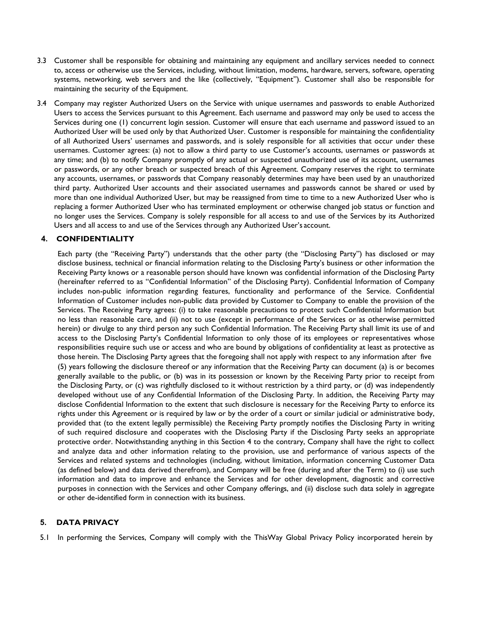- 3.3 Customer shall be responsible for obtaining and maintaining any equipment and ancillary services needed to connect to, access or otherwise use the Services, including, without limitation, modems, hardware, servers, software, operating systems, networking, web servers and the like (collectively, "Equipment"). Customer shall also be responsible for maintaining the security of the Equipment.
- 3.4 Company may register Authorized Users on the Service with unique usernames and passwords to enable Authorized Users to access the Services pursuant to this Agreement. Each username and password may only be used to access the Services during one (1) concurrent login session. Customer will ensure that each username and password issued to an Authorized User will be used only by that Authorized User. Customer is responsible for maintaining the confidentiality of all Authorized Users' usernames and passwords, and is solely responsible for all activities that occur under these usernames. Customer agrees: (a) not to allow a third party to use Customer's accounts, usernames or passwords at any time; and (b) to notify Company promptly of any actual or suspected unauthorized use of its account, usernames or passwords, or any other breach or suspected breach of this Agreement. Company reserves the right to terminate any accounts, usernames, or passwords that Company reasonably determines may have been used by an unauthorized third party. Authorized User accounts and their associated usernames and passwords cannot be shared or used by more than one individual Authorized User, but may be reassigned from time to time to a new Authorized User who is replacing a former Authorized User who has terminated employment or otherwise changed job status or function and no longer uses the Services. Company is solely responsible for all access to and use of the Services by its Authorized Users and all access to and use of the Services through any Authorized User's account.

#### **4. CONFIDENTIALITY**

Each party (the "Receiving Party") understands that the other party (the "Disclosing Party") has disclosed or may disclose business, technical or financial information relating to the Disclosing Party's business or other information the Receiving Party knows or a reasonable person should have known was confidential information of the Disclosing Party (hereinafter referred to as "Confidential Information" of the Disclosing Party). Confidential Information of Company includes non-public information regarding features, functionality and performance of the Service. Confidential Information of Customer includes non-public data provided by Customer to Company to enable the provision of the Services. The Receiving Party agrees: (i) to take reasonable precautions to protect such Confidential Information but no less than reasonable care, and (ii) not to use (except in performance of the Services or as otherwise permitted herein) or divulge to any third person any such Confidential Information. The Receiving Party shall limit its use of and access to the Disclosing Party's Confidential Information to only those of its employees or representatives whose responsibilities require such use or access and who are bound by obligations of confidentiality at least as protective as those herein. The Disclosing Party agrees that the foregoing shall not apply with respect to any information after five (5) years following the disclosure thereof or any information that the Receiving Party can document (a) is or becomes generally available to the public, or (b) was in its possession or known by the Receiving Party prior to receipt from the Disclosing Party, or (c) was rightfully disclosed to it without restriction by a third party, or (d) was independently developed without use of any Confidential Information of the Disclosing Party. In addition, the Receiving Party may disclose Confidential Information to the extent that such disclosure is necessary for the Receiving Party to enforce its rights under this Agreement or is required by law or by the order of a court or similar judicial or administrative body, provided that (to the extent legally permissible) the Receiving Party promptly notifies the Disclosing Party in writing of such required disclosure and cooperates with the Disclosing Party if the Disclosing Party seeks an appropriate protective order. Notwithstanding anything in this Section 4 to the contrary, Company shall have the right to collect and analyze data and other information relating to the provision, use and performance of various aspects of the Services and related systems and technologies (including, without limitation, information concerning Customer Data (as defined below) and data derived therefrom), and Company will be free (during and after the Term) to (i) use such information and data to improve and enhance the Services and for other development, diagnostic and corrective purposes in connection with the Services and other Company offerings, and (ii) disclose such data solely in aggregate or other de-identified form in connection with its business.

#### **5. DATA PRIVACY**

5.1 In performing the Services, Company will comply with the ThisWay Global Privacy Policy incorporated herein by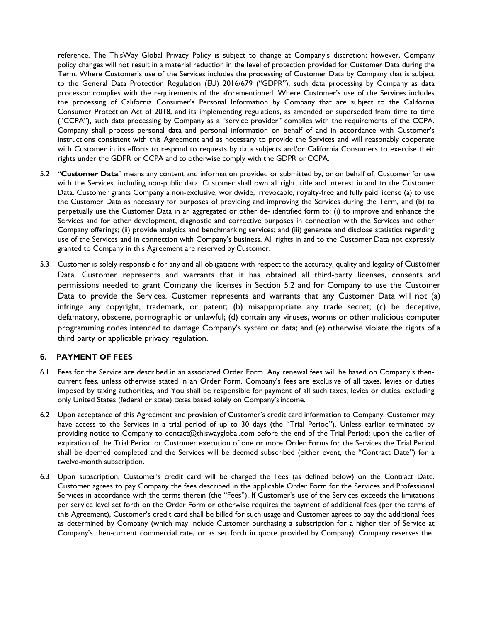reference. The ThisWay Global Privacy Policy is subject to change at Company's discretion; however, Company policy changes will not result in a material reduction in the level of protection provided for Customer Data during the Term. Where Customer's use of the Services includes the processing of Customer Data by Company that is subject to the General Data Protection Regulation (EU) 2016/679 ("GDPR"), such data processing by Company as data processor complies with the requirements of the aforementioned. Where Customer's use of the Services includes the processing of California Consumer's Personal Information by Company that are subject to the California Consumer Protection Act of 2018, and its implementing regulations, as amended or superseded from time to time ("CCPA"), such data processing by Company as a "service provider" complies with the requirements of the CCPA. Company shall process personal data and personal information on behalf of and in accordance with Customer's instructions consistent with this Agreement and as necessary to provide the Services and will reasonably cooperate with Customer in its efforts to respond to requests by data subjects and/or California Consumers to exercise their rights under the GDPR or CCPA and to otherwise comply with the GDPR or CCPA.

- 5.2 "**Customer Data**" means any content and information provided or submitted by, or on behalf of, Customer for use with the Services, including non-public data. Customer shall own all right, title and interest in and to the Customer Data. Customer grants Company a non-exclusive, worldwide, irrevocable, royalty-free and fully paid license (a) to use the Customer Data as necessary for purposes of providing and improving the Services during the Term, and (b) to perpetually use the Customer Data in an aggregated or other de- identified form to: (i) to improve and enhance the Services and for other development, diagnostic and corrective purposes in connection with the Services and other Company offerings; (ii) provide analytics and benchmarking services; and (iii) generate and disclose statistics regarding use of the Services and in connection with Company's business. All rights in and to the Customer Data not expressly granted to Company in this Agreement are reserved by Customer.
- 5.3 Customer is solely responsible for any and all obligations with respect to the accuracy, quality and legality of Customer Data. Customer represents and warrants that it has obtained all third-party licenses, consents and permissions needed to grant Company the licenses in Section 5.2 and for Company to use the Customer Data to provide the Services. Customer represents and warrants that any Customer Data will not (a) infringe any copyright, trademark, or patent; (b) misappropriate any trade secret; (c) be deceptive, defamatory, obscene, pornographic or unlawful; (d) contain any viruses, worms or other malicious computer programming codes intended to damage Company's system or data; and (e) otherwise violate the rights of a third party or applicable privacy regulation.

#### **6. PAYMENT OF FEES**

- 6.1 Fees for the Service are described in an associated Order Form. Any renewal fees will be based on Company's thencurrent fees, unless otherwise stated in an Order Form. Company's fees are exclusive of all taxes, levies or duties imposed by taxing authorities, and You shall be responsible for payment of all such taxes, levies or duties, excluding only United States (federal or state) taxes based solely on Company'sincome.
- 6.2 Upon acceptance of this Agreement and provision of Customer's credit card information to Company, Customer may have access to the Services in a trial period of up to 30 days (the "Trial Period"). Unless earlier terminated by providing notice to Company to [contact@thiswayglobal.com b](mailto:contact@thiswayglobal.com)efore the end of the Trial Period; upon the earlier of expiration of the Trial Period or Customer execution of one or more Order Forms for the Services the Trial Period shall be deemed completed and the Services will be deemed subscribed (either event, the "Contract Date") for a twelve-month subscription.
- 6.3 Upon subscription, Customer's credit card will be charged the Fees (as defined below) on the Contract Date. Customer agrees to pay Company the fees described in the applicable Order Form for the Services and Professional Services in accordance with the terms therein (the "Fees"). If Customer's use of the Services exceeds the limitations per service level set forth on the Order Form or otherwise requires the payment of additional fees (per the terms of this Agreement), Customer's credit card shall be billed for such usage and Customer agrees to pay the additional fees as determined by Company (which may include Customer purchasing a subscription for a higher tier of Service at Company's then-current commercial rate, or as set forth in quote provided by Company). Company reserves the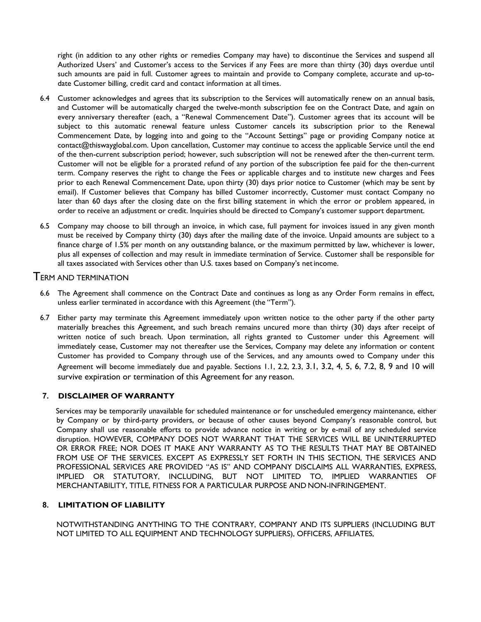right (in addition to any other rights or remedies Company may have) to discontinue the Services and suspend all Authorized Users' and Customer's access to the Services if any Fees are more than thirty (30) days overdue until such amounts are paid in full. Customer agrees to maintain and provide to Company complete, accurate and up-todate Customer billing, credit card and contact information at all times.

- 6.4 Customer acknowledges and agrees that its subscription to the Services will automatically renew on an annual basis, and Customer will be automatically charged the twelve-month subscription fee on the Contract Date, and again on every anniversary thereafter (each, a "Renewal Commencement Date"). Customer agrees that its account will be subject to this automatic renewal feature unless Customer cancels its subscription prior to the Renewal Commencement Date, by logging into and going to the "Account Settings" page or providing Company notice a[t](mailto:contact@thiswayglobal.com) [contact@thiswayglobal.com. U](mailto:contact@thiswayglobal.com)pon cancellation, Customer may continue to access the applicable Service until the end of the then-current subscription period; however, such subscription will not be renewed after the then-current term. Customer will not be eligible for a prorated refund of any portion of the subscription fee paid for the then-current term. Company reserves the right to change the Fees or applicable charges and to institute new charges and Fees prior to each Renewal Commencement Date, upon thirty (30) days prior notice to Customer (which may be sent by email). If Customer believes that Company has billed Customer incorrectly, Customer must contact Company no later than 60 days after the closing date on the first billing statement in which the error or problem appeared, in order to receive an adjustment or credit. Inquiries should be directed to Company's customer support department.
- 6.5 Company may choose to bill through an invoice, in which case, full payment for invoices issued in any given month must be received by Company thirty (30) days after the mailing date of the invoice. Unpaid amounts are subject to a finance charge of 1.5% per month on any outstanding balance, or the maximum permitted by law, whichever is lower, plus all expenses of collection and may result in immediate termination of Service. Customer shall be responsible for all taxes associated with Services other than U.S. taxes based on Company's netincome.

# TERM AND TERMINATION

- 6.6 The Agreement shall commence on the Contract Date and continues as long as any Order Form remains in effect, unless earlier terminated in accordance with this Agreement (the "Term").
- 6.7 Either party may terminate this Agreement immediately upon written notice to the other party if the other party materially breaches this Agreement, and such breach remains uncured more than thirty (30) days after receipt of written notice of such breach. Upon termination, all rights granted to Customer under this Agreement will immediately cease, Customer may not thereafter use the Services, Company may delete any information or content Customer has provided to Company through use of the Services, and any amounts owed to Company under this Agreement will become immediately due and payable. Sections 1.1, 2.2, 2.3, 3.1, 3.2, 4, 5, 6, 7.2, 8, 9 and 10 will survive expiration or termination of this Agreement for any reason.

# **7. DISCLAIMER OF WARRANTY**

Services may be temporarily unavailable for scheduled maintenance or for unscheduled emergency maintenance, either by Company or by third-party providers, or because of other causes beyond Company's reasonable control, but Company shall use reasonable efforts to provide advance notice in writing or by e-mail of any scheduled service disruption. HOWEVER, COMPANY DOES NOT WARRANT THAT THE SERVICES WILL BE UNINTERRUPTED OR ERROR FREE; NOR DOES IT MAKE ANY WARRANTY AS TO THE RESULTS THAT MAY BE OBTAINED FROM USE OF THE SERVICES. EXCEPT AS EXPRESSLY SET FORTH IN THIS SECTION, THE SERVICES AND PROFESSIONAL SERVICES ARE PROVIDED "AS IS" AND COMPANY DISCLAIMS ALL WARRANTIES, EXPRESS, IMPLIED OR STATUTORY, INCLUDING, BUT NOT LIMITED TO, IMPLIED WARRANTIES OF MERCHANTABILITY, TITLE, FITNESS FOR A PARTICULAR PURPOSE AND NON-INFRINGEMENT.

## **8. LIMITATION OF LIABILITY**

NOTWITHSTANDING ANYTHING TO THE CONTRARY, COMPANY AND ITS SUPPLIERS (INCLUDING BUT NOT LIMITED TO ALL EQUIPMENT AND TECHNOLOGY SUPPLIERS), OFFICERS, AFFILIATES,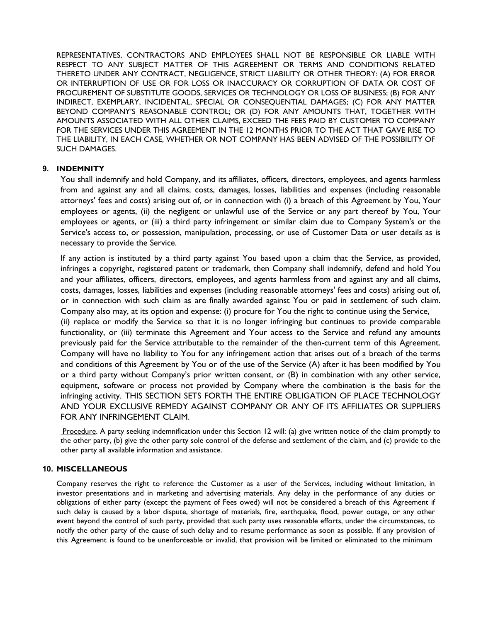REPRESENTATIVES, CONTRACTORS AND EMPLOYEES SHALL NOT BE RESPONSIBLE OR LIABLE WITH RESPECT TO ANY SUBJECT MATTER OF THIS AGREEMENT OR TERMS AND CONDITIONS RELATED THERETO UNDER ANY CONTRACT, NEGLIGENCE, STRICT LIABILITY OR OTHER THEORY: (A) FOR ERROR OR INTERRUPTION OF USE OR FOR LOSS OR INACCURACY OR CORRUPTION OF DATA OR COST OF PROCUREMENT OF SUBSTITUTE GOODS, SERVICES OR TECHNOLOGY OR LOSS OF BUSINESS; (B) FOR ANY INDIRECT, EXEMPLARY, INCIDENTAL, SPECIAL OR CONSEQUENTIAL DAMAGES; (C) FOR ANY MATTER BEYOND COMPANY'S REASONABLE CONTROL; OR (D) FOR ANY AMOUNTS THAT, TOGETHER WITH AMOUNTS ASSOCIATED WITH ALL OTHER CLAIMS, EXCEED THE FEES PAID BY CUSTOMER TO COMPANY FOR THE SERVICES UNDER THIS AGREEMENT IN THE 12 MONTHS PRIOR TO THE ACT THAT GAVE RISE TO THE LIABILITY, IN EACH CASE, WHETHER OR NOT COMPANY HAS BEEN ADVISED OF THE POSSIBILITY OF SUCH DAMAGES.

## **9. INDEMNITY**

You shall indemnify and hold Company, and its affiliates, officers, directors, employees, and agents harmless from and against any and all claims, costs, damages, losses, liabilities and expenses (including reasonable attorneys' fees and costs) arising out of, or in connection with (i) a breach of this Agreement by You, Your employees or agents, (ii) the negligent or unlawful use of the Service or any part thereof by You, Your employees or agents, or (iii) a third party infringement or similar claim due to Company System's or the Service's access to, or possession, manipulation, processing, or use of Customer Data or user details as is necessary to provide the Service.

If any action is instituted by a third party against You based upon a claim that the Service, as provided, infringes a copyright, registered patent or trademark, then Company shall indemnify, defend and hold You and your affiliates, officers, directors, employees, and agents harmless from and against any and all claims, costs, damages, losses, liabilities and expenses (including reasonable attorneys' fees and costs) arising out of, or in connection with such claim as are finally awarded against You or paid in settlement of such claim. Company also may, at its option and expense: (i) procure for You the right to continue using the Service,

(ii) replace or modify the Service so that it is no longer infringing but continues to provide comparable functionality, or (iii) terminate this Agreement and Your access to the Service and refund any amounts previously paid for the Service attributable to the remainder of the then-current term of this Agreement. Company will have no liability to You for any infringement action that arises out of a breach of the terms and conditions of this Agreement by You or of the use of the Service (A) after it has been modified by You or a third party without Company's prior written consent, or (B) in combination with any other service, equipment, software or process not provided by Company where the combination is the basis for the infringing activity. THIS SECTION SETS FORTH THE ENTIRE OBLIGATION OF PLACE TECHNOLOGY AND YOUR EXCLUSIVE REMEDY AGAINST COMPANY OR ANY OF ITS AFFILIATES OR SUPPLIERS FOR ANY INFRINGEMENT CLAIM.

Procedure. A party seeking indemnification under this Section 12 will: (a) give written notice of the claim promptly to the other party, (b) give the other party sole control of the defense and settlement of the claim, and (c) provide to the other party all available information and assistance.

#### **10. MISCELLANEOUS**

Company reserves the right to reference the Customer as a user of the Services, including without limitation, in investor presentations and in marketing and advertising materials. Any delay in the performance of any duties or obligations of either party (except the payment of Fees owed) will not be considered a breach of this Agreement if such delay is caused by a labor dispute, shortage of materials, fire, earthquake, flood, power outage, or any other event beyond the control of such party, provided that such party uses reasonable efforts, under the circumstances, to notify the other party of the cause of such delay and to resume performance as soon as possible. If any provision of this Agreement is found to be unenforceable or invalid, that provision will be limited or eliminated to the minimum